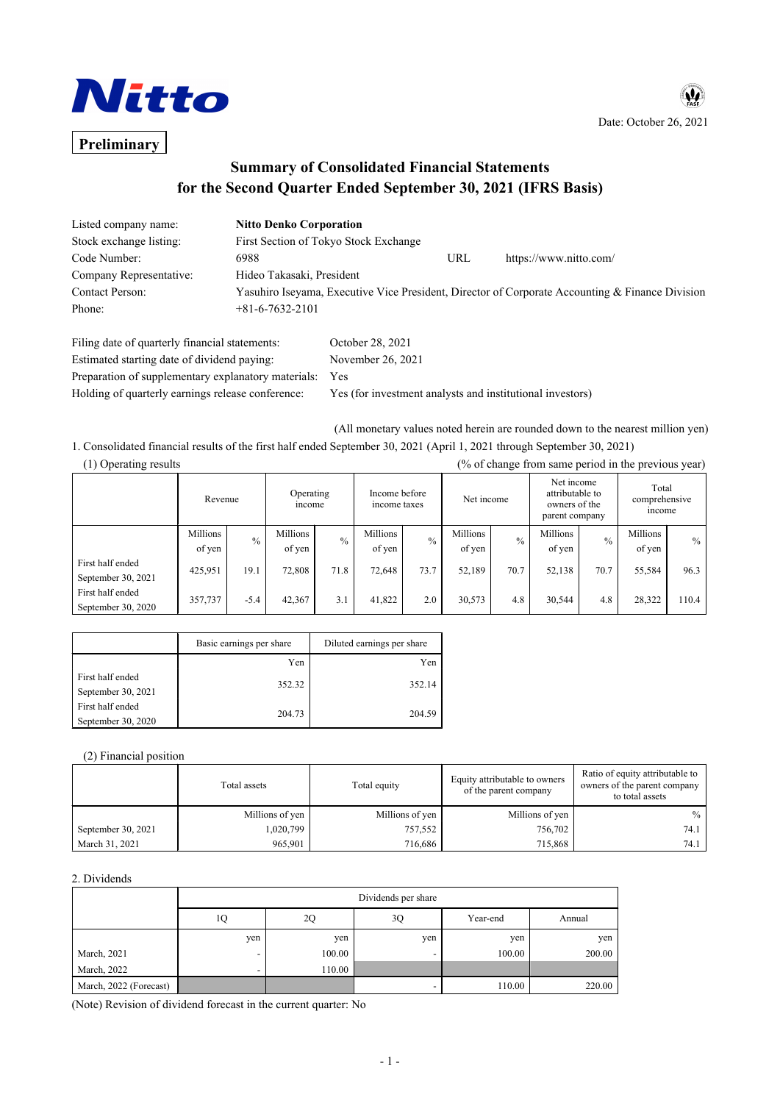

## $\mathbf{u}$ Date: October 26, 2021

# **Preliminary**

## **Summary of Consolidated Financial Statements for the Second Quarter Ended September 30, 2021 (IFRS Basis)**

| Listed company name:    | <b>Nitto Denko Corporation</b>        |     |                                                                                                 |
|-------------------------|---------------------------------------|-----|-------------------------------------------------------------------------------------------------|
| Stock exchange listing: | First Section of Tokyo Stock Exchange |     |                                                                                                 |
| Code Number:            | 6988                                  | URL | https://www.nitto.com/                                                                          |
| Company Representative: | Hideo Takasaki, President             |     |                                                                                                 |
| Contact Person:         |                                       |     | Yasuhiro Iseyama, Executive Vice President, Director of Corporate Accounting & Finance Division |
| Phone:                  | $+81-6-7632-2101$                     |     |                                                                                                 |
|                         |                                       |     |                                                                                                 |

| October 28, 2021                                           |
|------------------------------------------------------------|
| November 26, 2021                                          |
| Preparation of supplementary explanatory materials:<br>Yes |
| Yes (for investment analysts and institutional investors)  |
|                                                            |

(All monetary values noted herein are rounded down to the nearest million yen)

1. Consolidated financial results of the first half ended September 30, 2021 (April 1, 2021 through September 30, 2021)

| (% of change from same period in the previous year)<br>(1) Operating results |                    |               |                    |               |                               |      |                    |               |                                                                  |      |                                 |       |
|------------------------------------------------------------------------------|--------------------|---------------|--------------------|---------------|-------------------------------|------|--------------------|---------------|------------------------------------------------------------------|------|---------------------------------|-------|
|                                                                              | Revenue            |               | Operating<br>mcome |               | Income before<br>income taxes |      | Net income         |               | Net income<br>attributable to<br>owners of the<br>parent company |      | Total<br>comprehensive<br>mcome |       |
|                                                                              | Millions<br>of yen | $\frac{0}{0}$ | Millions<br>of yen | $\frac{0}{0}$ | Millions<br>of yen            | 0/2  | Millions<br>of yen | $\frac{0}{0}$ | Millions<br>of yen                                               | 0/6  | Millions<br>of yen              | $\%$  |
| First half ended<br>September 30, 2021                                       | 425,951            | 19.1          | 72,808             | 71.8          | 72,648                        | 73.7 | 52,189             | 70.7          | 52,138                                                           | 70.7 | 55,584                          | 96.3  |
| First half ended<br>September 30, 2020                                       | 357,737            | $-5.4$        | 42,367             | 3.1           | 41,822                        | 2.0  | 30,573             | 4.8           | 30,544                                                           | 4.8  | 28,322                          | 110.4 |

|                                        | Basic earnings per share | Diluted earnings per share |  |
|----------------------------------------|--------------------------|----------------------------|--|
|                                        | Yen                      | Yen                        |  |
| First half ended<br>September 30, 2021 | 352.32                   | 352.14                     |  |
| First half ended<br>September 30, 2020 | 204.73                   | 204.59                     |  |

#### (2) Financial position

|                    | Total assets    | Total equity    | Equity attributable to owners<br>of the parent company | Ratio of equity attributable to<br>owners of the parent company<br>to total assets |
|--------------------|-----------------|-----------------|--------------------------------------------------------|------------------------------------------------------------------------------------|
|                    | Millions of yen | Millions of yen | Millions of yen                                        | $\%$                                                                               |
| September 30, 2021 | 1,020,799       | 757,552         | 756,702                                                | 74.1 l                                                                             |
| March 31, 2021     | 965,901         | 716,686         | 715,868                                                | 74.1 l                                                                             |

#### 2. Dividends

|                        | Dividends per share |        |     |          |        |  |
|------------------------|---------------------|--------|-----|----------|--------|--|
|                        | 1Q                  | 2Q     | 3Q  | Year-end | Annual |  |
|                        | yen                 | yen    | yen | yen      | yen    |  |
| March, 2021            |                     | 100.00 |     | 100.00   | 200.00 |  |
| March, 2022            |                     | 110.00 |     |          |        |  |
| March, 2022 (Forecast) |                     |        |     | 110.00   | 220.00 |  |

(Note) Revision of dividend forecast in the current quarter: No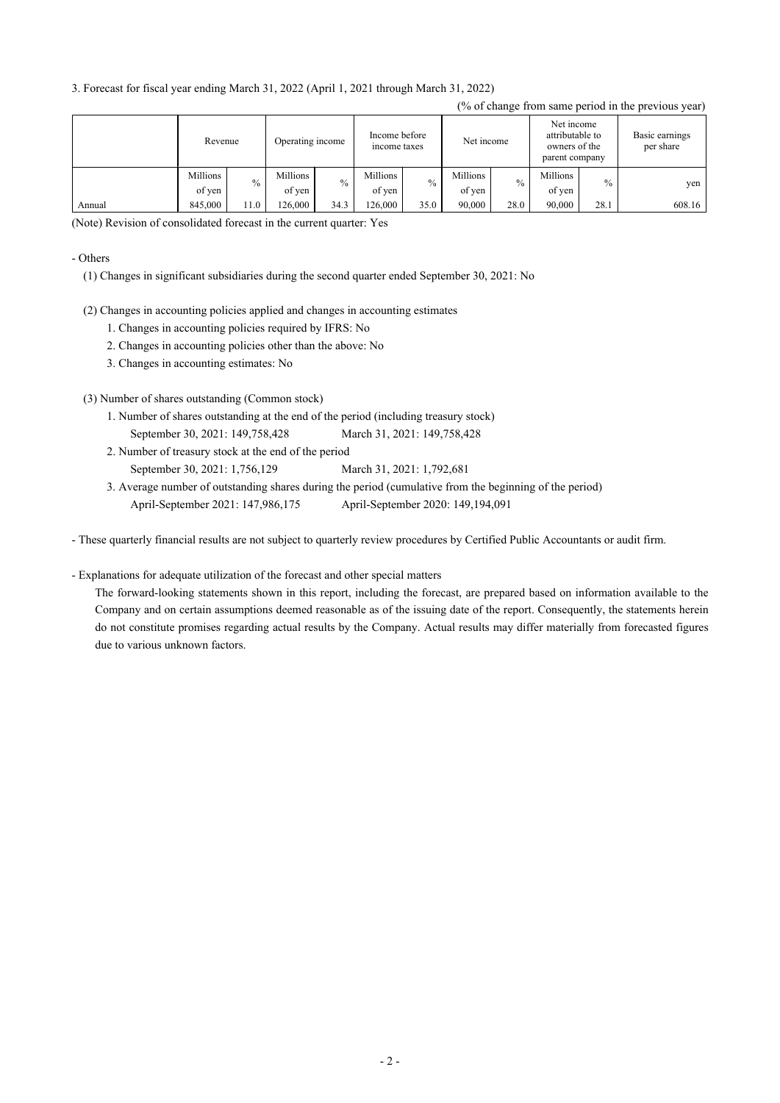3. Forecast for fiscal year ending March 31, 2022 (April 1, 2021 through March 31, 2022)

|        |                    |               |                    |               |                               |               |                    |      |                                                                  |               | (% of change from same period in the previous year) |
|--------|--------------------|---------------|--------------------|---------------|-------------------------------|---------------|--------------------|------|------------------------------------------------------------------|---------------|-----------------------------------------------------|
|        | Revenue            |               | Operating income   |               | Income before<br>income taxes |               | Net income         |      | Net income<br>attributable to<br>owners of the<br>parent company |               | Basic earnings<br>per share                         |
|        | Millions<br>of yen | $\frac{0}{0}$ | Millions<br>of yen | $\frac{0}{0}$ | Millions<br>of yen            | $\frac{0}{0}$ | Millions<br>of ven | $\%$ | Millions<br>of yen                                               | $\frac{0}{0}$ | yen                                                 |
| Annual | 845,000            | 11.0          | 126,000            | 34.3          | 126,000                       | 35.0          | 90,000             | 28.0 | 90,000                                                           | 28.1          | 608.16                                              |

(Note) Revision of consolidated forecast in the current quarter: Yes

#### - Others

- (1) Changes in significant subsidiaries during the second quarter ended September 30, 2021: No
- (2) Changes in accounting policies applied and changes in accounting estimates
	- 1. Changes in accounting policies required by IFRS: No
	- 2. Changes in accounting policies other than the above: No
	- 3. Changes in accounting estimates: No

(3) Number of shares outstanding (Common stock)

- September 30, 2021: 149,758,428 March 31, 2021: 149,758,428 1. Number of shares outstanding at the end of the period (including treasury stock)
- 2. Number of treasury stock at the end of the period

September 30, 2021: 1,756,129 March 31, 2021: 1,792,681

April-September 2021: 147,986,175 April-September 2020: 149,194,091 3. Average number of outstanding shares during the period (cumulative from the beginning of the period)

- These quarterly financial results are not subject to quarterly review procedures by Certified Public Accountants or audit firm.

- Explanations for adequate utilization of the forecast and other special matters

The forward-looking statements shown in this report, including the forecast, are prepared based on information available to the Company and on certain assumptions deemed reasonable as of the issuing date of the report. Consequently, the statements herein do not constitute promises regarding actual results by the Company. Actual results may differ materially from forecasted figures due to various unknown factors.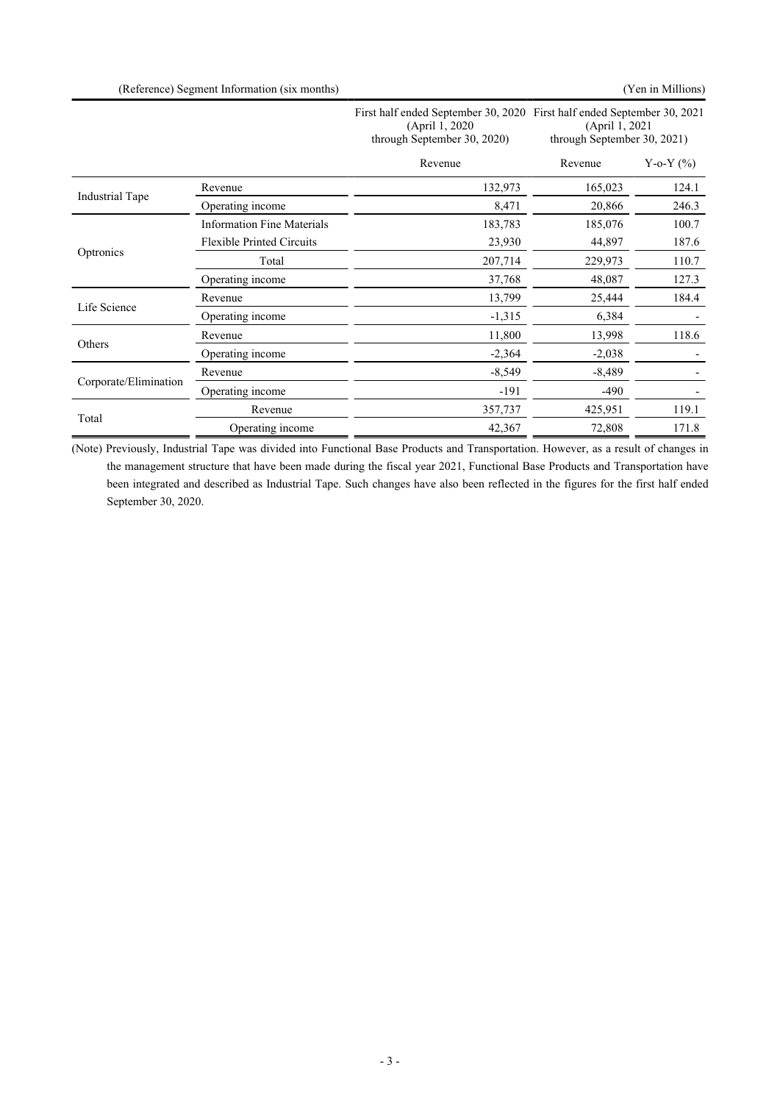|                        |                                   | First half ended September 30, 2020 First half ended September 30, 2021<br>(April 1, 2020)<br>through September 30, 2020) | (April 1, 2021<br>through September 30, 2021) |               |
|------------------------|-----------------------------------|---------------------------------------------------------------------------------------------------------------------------|-----------------------------------------------|---------------|
|                        |                                   | Revenue                                                                                                                   | Revenue                                       | Y-o-Y $(\% )$ |
|                        | Revenue                           | 132,973                                                                                                                   | 165,023                                       | 124.1         |
| <b>Industrial Tape</b> | Operating income                  | 8,471                                                                                                                     | 20,866                                        | 246.3         |
|                        | <b>Information Fine Materials</b> | 183,783                                                                                                                   | 185,076                                       | 100.7         |
|                        | <b>Flexible Printed Circuits</b>  | 23,930                                                                                                                    | 44,897                                        | 187.6         |
| Optronics              | Total                             | 207,714                                                                                                                   | 229,973                                       | 110.7         |
|                        | Operating income                  | 37,768                                                                                                                    | 48,087                                        | 127.3         |
|                        | Revenue                           | 13,799                                                                                                                    | 25,444                                        | 184.4         |
| Life Science           | Operating income                  | $-1,315$                                                                                                                  | 6,384                                         |               |
|                        | Revenue                           | 11,800                                                                                                                    | 13,998                                        | 118.6         |
| Others                 | Operating income                  | $-2,364$                                                                                                                  | $-2,038$                                      |               |
|                        | Revenue                           | $-8,549$                                                                                                                  | $-8,489$                                      |               |
| Corporate/Elimination  | Operating income                  | $-191$                                                                                                                    | $-490$                                        |               |
|                        | Revenue                           | 357,737                                                                                                                   | 425,951                                       | 119.1         |
| Total                  | Operating income                  | 42,367                                                                                                                    | 72,808                                        | 171.8         |

(Note) Previously, Industrial Tape was divided into Functional Base Products and Transportation. However, as a result of changes in the management structure that have been made during the fiscal year 2021, Functional Base Products and Transportation have been integrated and described as Industrial Tape. Such changes have also been reflected in the figures for the first half ended September 30, 2020.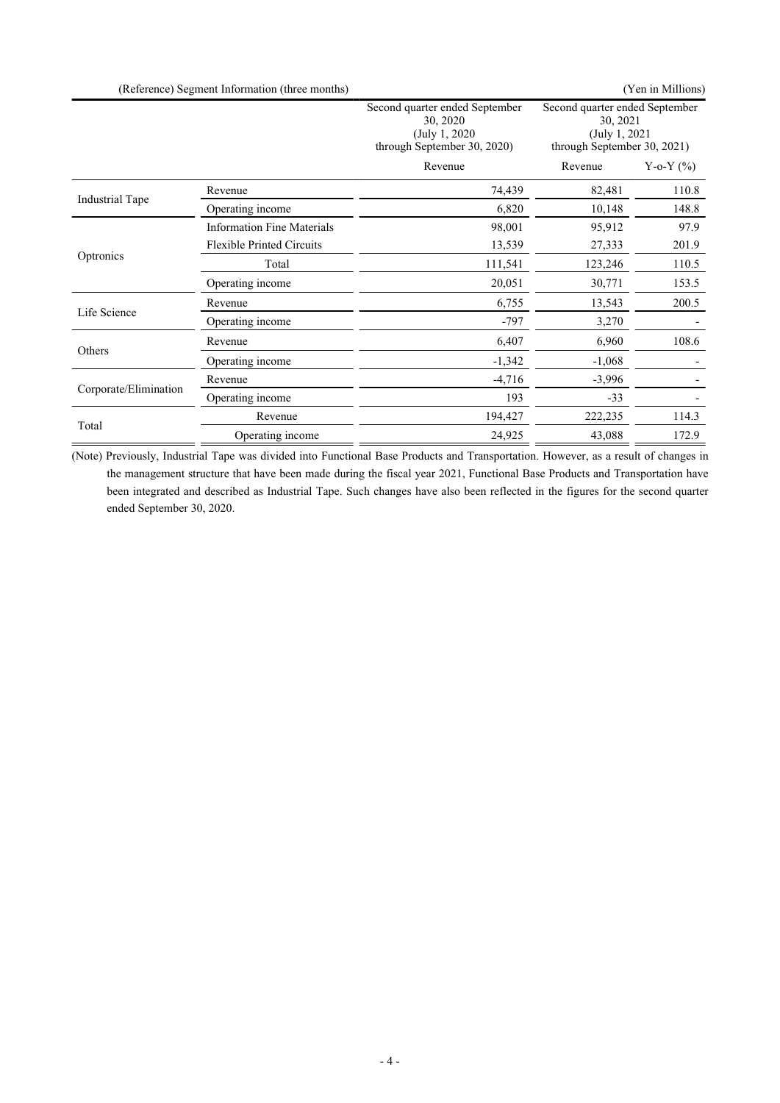|                       | (Reference) Segment Information (three months) |                                                                                             |                                                                                             | (Yen in Millions) |
|-----------------------|------------------------------------------------|---------------------------------------------------------------------------------------------|---------------------------------------------------------------------------------------------|-------------------|
|                       |                                                | Second quarter ended September<br>30, 2020<br>(July 1, 2020)<br>through September 30, 2020) | Second quarter ended September<br>30, 2021<br>(July 1, 2021)<br>through September 30, 2021) |                   |
|                       |                                                | Revenue                                                                                     | Revenue                                                                                     | Y-o-Y $(\% )$     |
|                       | Revenue                                        | 74,439                                                                                      | 82,481                                                                                      | 110.8             |
| Industrial Tape       | Operating income                               | 6,820                                                                                       | 10,148                                                                                      | 148.8             |
|                       | <b>Information Fine Materials</b>              | 98,001                                                                                      | 95,912                                                                                      | 97.9              |
|                       | <b>Flexible Printed Circuits</b>               | 13,539                                                                                      | 27,333                                                                                      | 201.9             |
| Optronics             | Total                                          | 111,541                                                                                     | 123,246                                                                                     | 110.5             |
|                       | Operating income                               | 20,051                                                                                      | 30,771                                                                                      | 153.5             |
|                       | Revenue                                        | 6,755                                                                                       | 13,543                                                                                      | 200.5             |
| Life Science          | Operating income                               | $-797$                                                                                      | 3,270                                                                                       |                   |
| Others                | Revenue                                        | 6,407                                                                                       | 6,960                                                                                       | 108.6             |
|                       | Operating income                               | $-1,342$                                                                                    | $-1,068$                                                                                    |                   |
|                       | Revenue                                        | $-4,716$                                                                                    | $-3,996$                                                                                    |                   |
| Corporate/Elimination | Operating income                               | 193                                                                                         | $-33$                                                                                       |                   |
|                       | Revenue                                        | 194,427                                                                                     | 222,235                                                                                     | 114.3             |
| Total                 | Operating income                               | 24,925                                                                                      | 43,088                                                                                      | 172.9             |

(Note) Previously, Industrial Tape was divided into Functional Base Products and Transportation. However, as a result of changes in the management structure that have been made during the fiscal year 2021, Functional Base Products and Transportation have been integrated and described as Industrial Tape. Such changes have also been reflected in the figures for the second quarter ended September 30, 2020.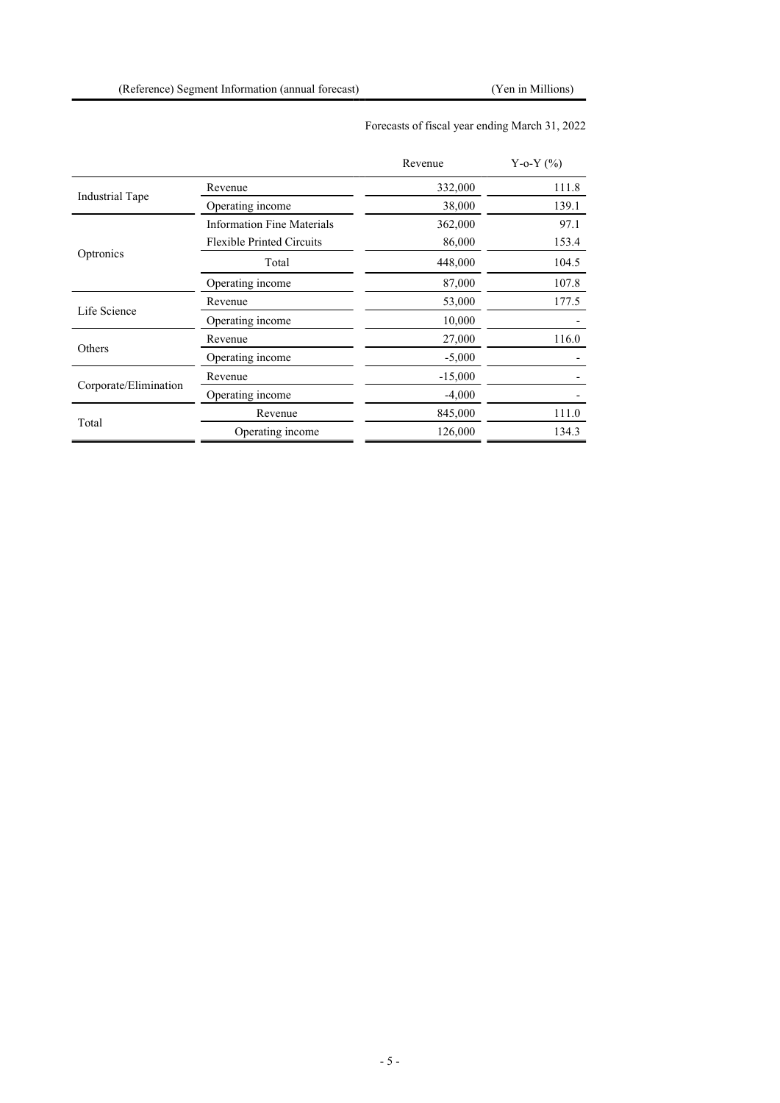## Forecasts of fiscal year ending March 31, 2022

|                        |                                   | Revenue   | Y-o-Y $(\% )$ |
|------------------------|-----------------------------------|-----------|---------------|
|                        | Revenue                           | 332,000   | 111.8         |
| <b>Industrial Tape</b> | Operating income                  | 38,000    | 139.1         |
|                        | <b>Information Fine Materials</b> | 362,000   | 97.1          |
|                        | <b>Flexible Printed Circuits</b>  | 86,000    | 153.4         |
| Optronics              | Total                             | 448,000   | 104.5         |
|                        | Operating income                  | 87,000    | 107.8         |
|                        | Revenue                           | 53,000    | 177.5         |
| Life Science           | Operating income                  | 10,000    |               |
|                        | Revenue                           | 27,000    | 116.0         |
| Others                 | Operating income                  | $-5,000$  |               |
|                        | Revenue                           | $-15,000$ |               |
| Corporate/Elimination  | Operating income                  | $-4,000$  |               |
|                        | Revenue                           | 845,000   | 111.0         |
| Total                  | Operating income                  | 126,000   | 134.3         |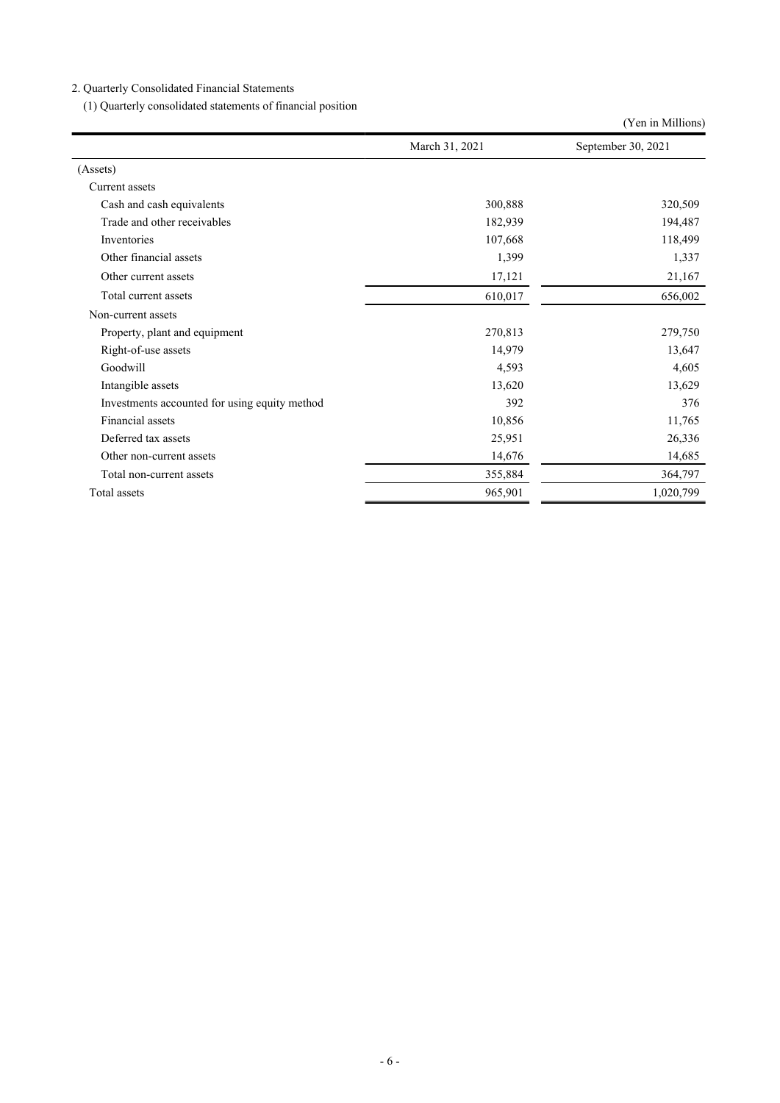## 2. Quarterly Consolidated Financial Statements

(1) Quarterly consolidated statements of financial position

|                                               |                | (Yen in Millions)  |
|-----------------------------------------------|----------------|--------------------|
|                                               | March 31, 2021 | September 30, 2021 |
| (A <sub>s</sub> )                             |                |                    |
| Current assets                                |                |                    |
| Cash and cash equivalents                     | 300,888        | 320,509            |
| Trade and other receivables                   | 182,939        | 194,487            |
| Inventories                                   | 107,668        | 118,499            |
| Other financial assets                        | 1,399          | 1,337              |
| Other current assets                          | 17,121         | 21,167             |
| Total current assets                          | 610,017        | 656,002            |
| Non-current assets                            |                |                    |
| Property, plant and equipment                 | 270,813        | 279,750            |
| Right-of-use assets                           | 14,979         | 13,647             |
| Goodwill                                      | 4,593          | 4,605              |
| Intangible assets                             | 13,620         | 13,629             |
| Investments accounted for using equity method | 392            | 376                |
| Financial assets                              | 10,856         | 11,765             |
| Deferred tax assets                           | 25,951         | 26,336             |
| Other non-current assets                      | 14,676         | 14,685             |
| Total non-current assets                      | 355,884        | 364,797            |
| Total assets                                  | 965,901        | 1,020,799          |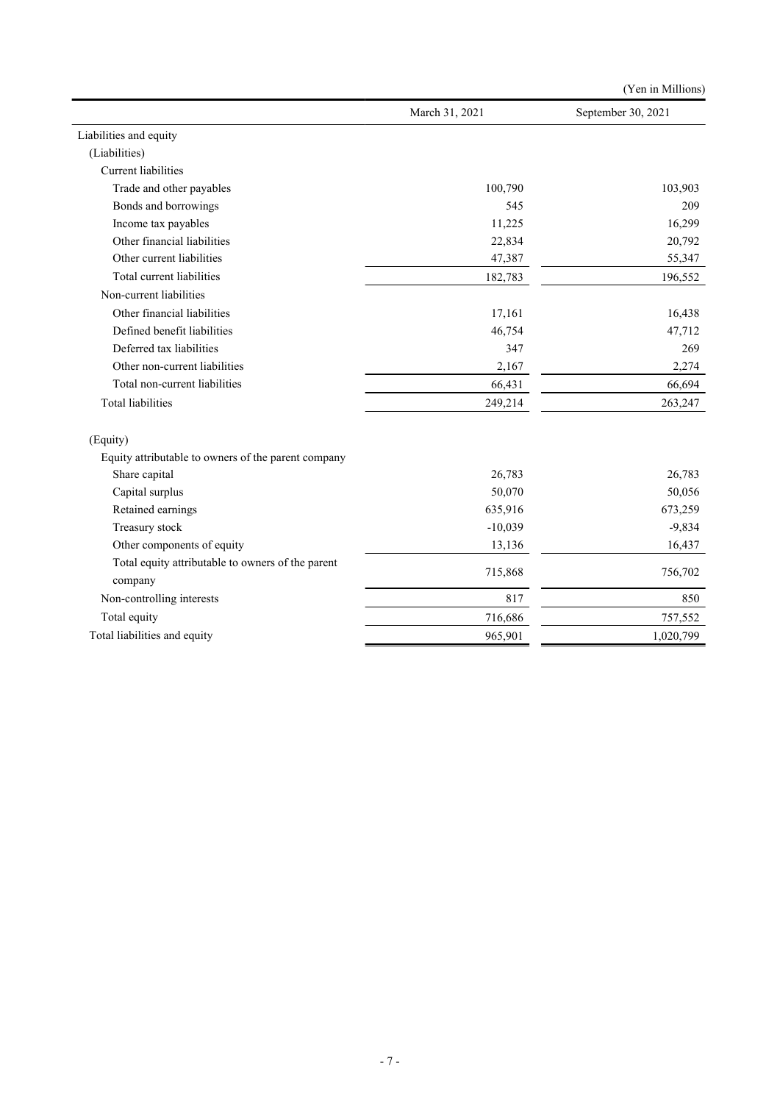|                                                              |                | (Yen in Millions)  |
|--------------------------------------------------------------|----------------|--------------------|
|                                                              | March 31, 2021 | September 30, 2021 |
| Liabilities and equity                                       |                |                    |
| (Liabilities)                                                |                |                    |
| <b>Current liabilities</b>                                   |                |                    |
| Trade and other payables                                     | 100,790        | 103,903            |
| Bonds and borrowings                                         | 545            | 209                |
| Income tax payables                                          | 11,225         | 16,299             |
| Other financial liabilities                                  | 22,834         | 20,792             |
| Other current liabilities                                    | 47,387         | 55,347             |
| Total current liabilities                                    | 182,783        | 196,552            |
| Non-current liabilities                                      |                |                    |
| Other financial liabilities                                  | 17,161         | 16,438             |
| Defined benefit liabilities                                  | 46,754         | 47,712             |
| Deferred tax liabilities                                     | 347            | 269                |
| Other non-current liabilities                                | 2,167          | 2,274              |
| Total non-current liabilities                                | 66,431         | 66,694             |
| <b>Total liabilities</b>                                     | 249,214        | 263,247            |
| (Equity)                                                     |                |                    |
| Equity attributable to owners of the parent company          |                |                    |
| Share capital                                                | 26,783         | 26,783             |
| Capital surplus                                              | 50,070         | 50,056             |
| Retained earnings                                            | 635,916        | 673,259            |
| Treasury stock                                               | $-10,039$      | $-9,834$           |
| Other components of equity                                   | 13,136         | 16,437             |
| Total equity attributable to owners of the parent<br>company | 715,868        | 756,702            |
| Non-controlling interests                                    | 817            | 850                |
| Total equity                                                 | 716,686        | 757,552            |
| Total liabilities and equity                                 | 965,901        | 1,020,799          |
|                                                              |                |                    |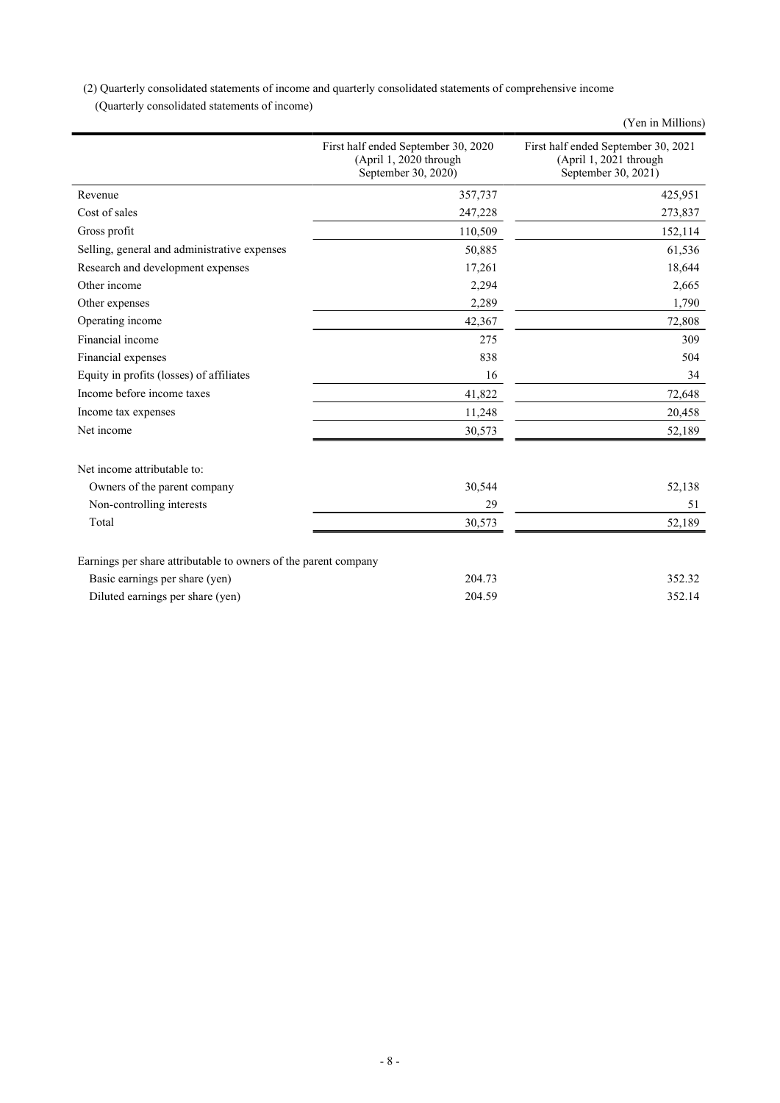(2) Quarterly consolidated statements of income and quarterly consolidated statements of comprehensive income

(Quarterly consolidated statements of income)

|                                                                 |                                                                                      | (Yen in Millions)                                                                    |
|-----------------------------------------------------------------|--------------------------------------------------------------------------------------|--------------------------------------------------------------------------------------|
|                                                                 | First half ended September 30, 2020<br>(April 1, 2020 through<br>September 30, 2020) | First half ended September 30, 2021<br>(April 1, 2021 through<br>September 30, 2021) |
| Revenue                                                         | 357,737                                                                              | 425,951                                                                              |
| Cost of sales                                                   | 247,228                                                                              | 273,837                                                                              |
| Gross profit                                                    | 110,509                                                                              | 152,114                                                                              |
| Selling, general and administrative expenses                    | 50,885                                                                               | 61,536                                                                               |
| Research and development expenses                               | 17,261                                                                               | 18,644                                                                               |
| Other income                                                    | 2,294                                                                                | 2,665                                                                                |
| Other expenses                                                  | 2,289                                                                                | 1,790                                                                                |
| Operating income                                                | 42,367                                                                               | 72,808                                                                               |
| Financial income                                                | 275                                                                                  | 309                                                                                  |
| Financial expenses                                              | 838                                                                                  | 504                                                                                  |
| Equity in profits (losses) of affiliates                        | 16                                                                                   | 34                                                                                   |
| Income before income taxes                                      | 41,822                                                                               | 72,648                                                                               |
| Income tax expenses                                             | 11,248                                                                               | 20,458                                                                               |
| Net income                                                      | 30,573                                                                               | 52,189                                                                               |
| Net income attributable to:                                     |                                                                                      |                                                                                      |
| Owners of the parent company                                    | 30,544                                                                               | 52,138                                                                               |
| Non-controlling interests                                       | 29                                                                                   | 51                                                                                   |
| Total                                                           | 30,573                                                                               | 52,189                                                                               |
| Earnings per share attributable to owners of the parent company |                                                                                      |                                                                                      |
| Basic earnings per share (yen)                                  | 204.73                                                                               | 352.32                                                                               |
| Diluted earnings per share (yen)                                | 204.59                                                                               | 352.14                                                                               |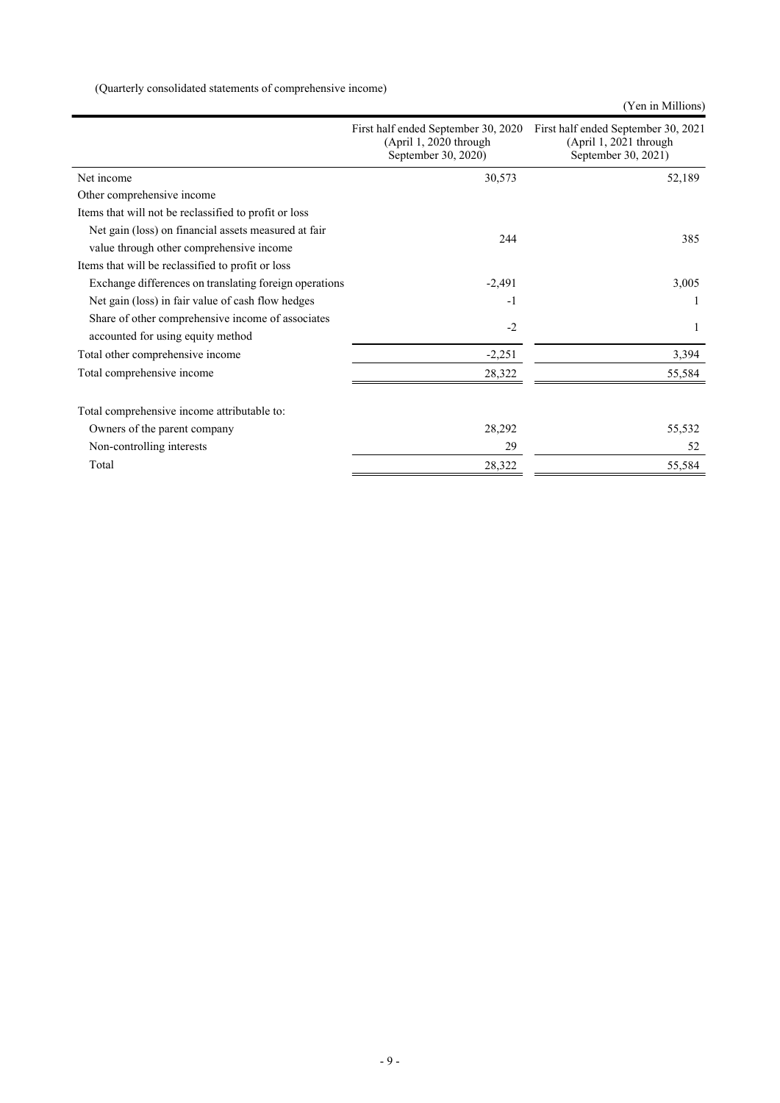(Quarterly consolidated statements of comprehensive income)

(Yen in Millions)

| 30,573<br>Net income<br>Other comprehensive income<br>Items that will not be reclassified to profit or loss<br>Net gain (loss) on financial assets measured at fair<br>244<br>value through other comprehensive income | First half ended September 30, 2021 |
|------------------------------------------------------------------------------------------------------------------------------------------------------------------------------------------------------------------------|-------------------------------------|
|                                                                                                                                                                                                                        | 52,189                              |
|                                                                                                                                                                                                                        |                                     |
|                                                                                                                                                                                                                        |                                     |
|                                                                                                                                                                                                                        | 385                                 |
|                                                                                                                                                                                                                        |                                     |
| Items that will be reclassified to profit or loss                                                                                                                                                                      |                                     |
| Exchange differences on translating foreign operations<br>$-2,491$                                                                                                                                                     | 3,005                               |
| Net gain (loss) in fair value of cash flow hedges<br>$-1$                                                                                                                                                              |                                     |
| Share of other comprehensive income of associates<br>$-2$                                                                                                                                                              |                                     |
| accounted for using equity method                                                                                                                                                                                      | 1                                   |
| Total other comprehensive income<br>$-2,251$                                                                                                                                                                           | 3,394                               |
| Total comprehensive income<br>28,322                                                                                                                                                                                   | 55,584                              |
| Total comprehensive income attributable to:                                                                                                                                                                            |                                     |
| 28,292<br>Owners of the parent company                                                                                                                                                                                 | 55,532                              |
| Non-controlling interests<br>29                                                                                                                                                                                        | 52                                  |
| Total<br>28,322                                                                                                                                                                                                        | 55,584                              |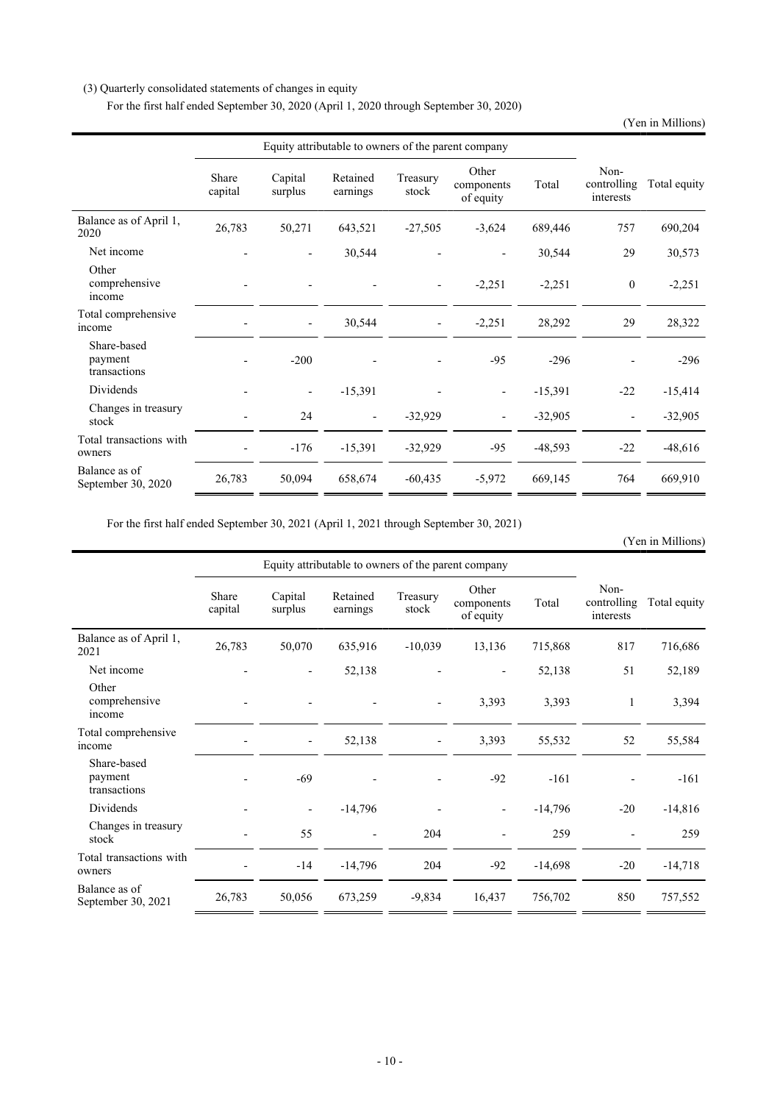### (3) Quarterly consolidated statements of changes in equity

For the first half ended September 30, 2020 (April 1, 2020 through September 30, 2020)

(Yen in Millions)

|                                        | Equity attributable to owners of the parent company |                          |                          |                          |                                  |           |                                  |              |
|----------------------------------------|-----------------------------------------------------|--------------------------|--------------------------|--------------------------|----------------------------------|-----------|----------------------------------|--------------|
|                                        | Share<br>capital                                    | Capital<br>surplus       | Retained<br>earnings     | Treasury<br>stock        | Other<br>components<br>of equity | Total     | Non-<br>controlling<br>interests | Total equity |
| Balance as of April 1,<br>2020         | 26,783                                              | 50,271                   | 643,521                  | $-27,505$                | $-3,624$                         | 689,446   | 757                              | 690,204      |
| Net income                             |                                                     |                          | 30,544                   |                          |                                  | 30,544    | 29                               | 30,573       |
| Other<br>comprehensive<br>income       |                                                     |                          |                          | $\overline{\phantom{a}}$ | $-2,251$                         | $-2,251$  | $\mathbf{0}$                     | $-2,251$     |
| Total comprehensive<br>income          |                                                     | $\overline{\phantom{a}}$ | 30,544                   | $\overline{\phantom{a}}$ | $-2,251$                         | 28,292    | 29                               | 28,322       |
| Share-based<br>payment<br>transactions |                                                     | $-200$                   |                          |                          | $-95$                            | $-296$    |                                  | $-296$       |
| Dividends                              |                                                     | $\overline{\phantom{a}}$ | $-15,391$                |                          |                                  | $-15,391$ | $-22$                            | $-15,414$    |
| Changes in treasury<br>stock           |                                                     | 24                       | $\overline{\phantom{a}}$ | $-32,929$                |                                  | $-32,905$ | $\overline{\phantom{a}}$         | $-32,905$    |
| Total transactions with<br>owners      |                                                     | $-176$                   | $-15,391$                | $-32,929$                | $-95$                            | $-48,593$ | $-22$                            | $-48,616$    |
| Balance as of<br>September 30, 2020    | 26,783                                              | 50,094                   | 658,674                  | $-60,435$                | $-5,972$                         | 669,145   | 764                              | 669,910      |

For the first half ended September 30, 2021 (April 1, 2021 through September 30, 2021)

### (Yen in Millions)

|                                        | Equity attributable to owners of the parent company |                    |                      |                          |                                  |           |                                  |              |
|----------------------------------------|-----------------------------------------------------|--------------------|----------------------|--------------------------|----------------------------------|-----------|----------------------------------|--------------|
|                                        | Share<br>capital                                    | Capital<br>surplus | Retained<br>earnings | Treasury<br>stock        | Other<br>components<br>of equity | Total     | Non-<br>controlling<br>interests | Total equity |
| Balance as of April 1,<br>2021         | 26,783                                              | 50,070             | 635,916              | $-10,039$                | 13,136                           | 715,868   | 817                              | 716,686      |
| Net income                             |                                                     |                    | 52,138               |                          |                                  | 52,138    | 51                               | 52,189       |
| Other<br>comprehensive<br>income       |                                                     |                    |                      | $\overline{\phantom{a}}$ | 3,393                            | 3,393     | 1                                | 3,394        |
| Total comprehensive<br>income          |                                                     |                    | 52,138               |                          | 3,393                            | 55,532    | 52                               | 55,584       |
| Share-based<br>payment<br>transactions |                                                     | $-69$              |                      |                          | $-92$                            | $-161$    |                                  | $-161$       |
| Dividends                              |                                                     |                    | $-14,796$            |                          |                                  | $-14,796$ | $-20$                            | $-14,816$    |
| Changes in treasury<br>stock           |                                                     | 55                 |                      | 204                      |                                  | 259       |                                  | 259          |
| Total transactions with<br>owners      |                                                     | $-14$              | $-14,796$            | 204                      | $-92$                            | $-14,698$ | $-20$                            | $-14,718$    |
| Balance as of<br>September 30, 2021    | 26,783                                              | 50,056             | 673,259              | $-9,834$                 | 16,437                           | 756,702   | 850                              | 757,552      |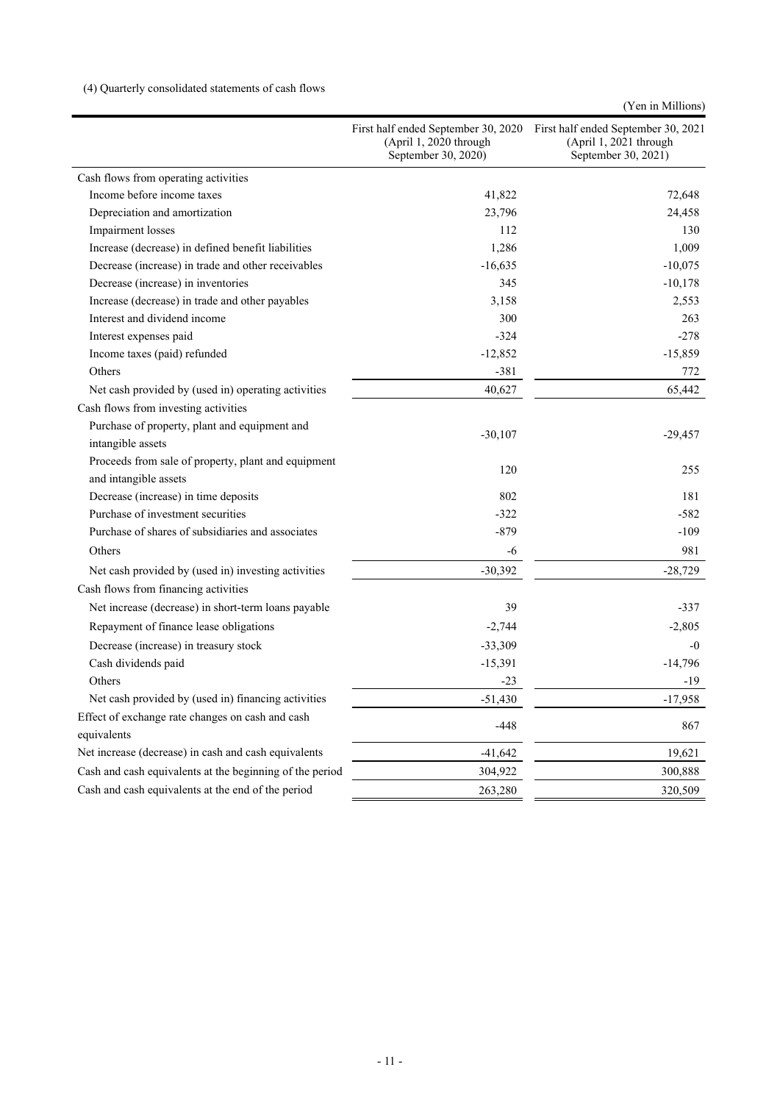## (4) Quarterly consolidated statements of cash flows

|  | (Yen in Millions) |
|--|-------------------|
|  |                   |

|                                                                              | First half ended September 30, 2020<br>(April 1, 2020 through<br>September 30, 2020) | First half ended September 30, 2021<br>(April 1, 2021 through<br>September 30, 2021) |
|------------------------------------------------------------------------------|--------------------------------------------------------------------------------------|--------------------------------------------------------------------------------------|
| Cash flows from operating activities                                         |                                                                                      |                                                                                      |
| Income before income taxes                                                   | 41,822                                                                               | 72,648                                                                               |
| Depreciation and amortization                                                | 23,796                                                                               | 24,458                                                                               |
| Impairment losses                                                            | 112                                                                                  | 130                                                                                  |
| Increase (decrease) in defined benefit liabilities                           | 1,286                                                                                | 1,009                                                                                |
| Decrease (increase) in trade and other receivables                           | $-16,635$                                                                            | $-10,075$                                                                            |
| Decrease (increase) in inventories                                           | 345                                                                                  | $-10,178$                                                                            |
| Increase (decrease) in trade and other payables                              | 3,158                                                                                | 2,553                                                                                |
| Interest and dividend income                                                 | 300                                                                                  | 263                                                                                  |
| Interest expenses paid                                                       | $-324$                                                                               | $-278$                                                                               |
| Income taxes (paid) refunded                                                 | $-12,852$                                                                            | $-15,859$                                                                            |
| Others                                                                       | $-381$                                                                               | 772                                                                                  |
| Net cash provided by (used in) operating activities                          | 40,627                                                                               | 65,442                                                                               |
| Cash flows from investing activities                                         |                                                                                      |                                                                                      |
| Purchase of property, plant and equipment and<br>intangible assets           | $-30,107$                                                                            | $-29,457$                                                                            |
| Proceeds from sale of property, plant and equipment<br>and intangible assets | 120                                                                                  | 255                                                                                  |
| Decrease (increase) in time deposits                                         | 802                                                                                  | 181                                                                                  |
| Purchase of investment securities                                            | $-322$                                                                               | $-582$                                                                               |
| Purchase of shares of subsidiaries and associates                            | $-879$                                                                               | $-109$                                                                               |
| Others                                                                       | -6                                                                                   | 981                                                                                  |
| Net cash provided by (used in) investing activities                          | $-30,392$                                                                            | $-28,729$                                                                            |
| Cash flows from financing activities                                         |                                                                                      |                                                                                      |
| Net increase (decrease) in short-term loans payable                          | 39                                                                                   | $-337$                                                                               |
| Repayment of finance lease obligations                                       | $-2,744$                                                                             | $-2,805$                                                                             |
| Decrease (increase) in treasury stock                                        | $-33,309$                                                                            | $-0$                                                                                 |
| Cash dividends paid                                                          | $-15,391$                                                                            | $-14,796$                                                                            |
| Others                                                                       | $-23$                                                                                | -19                                                                                  |
| Net cash provided by (used in) financing activities                          | $-51,430$                                                                            | $-17,958$                                                                            |
| Effect of exchange rate changes on cash and cash                             |                                                                                      |                                                                                      |
| equivalents                                                                  | $-448$                                                                               | 867                                                                                  |
| Net increase (decrease) in cash and cash equivalents                         | $-41,642$                                                                            | 19,621                                                                               |
| Cash and cash equivalents at the beginning of the period                     | 304,922                                                                              | 300,888                                                                              |
| Cash and cash equivalents at the end of the period                           | 263,280                                                                              | 320,509                                                                              |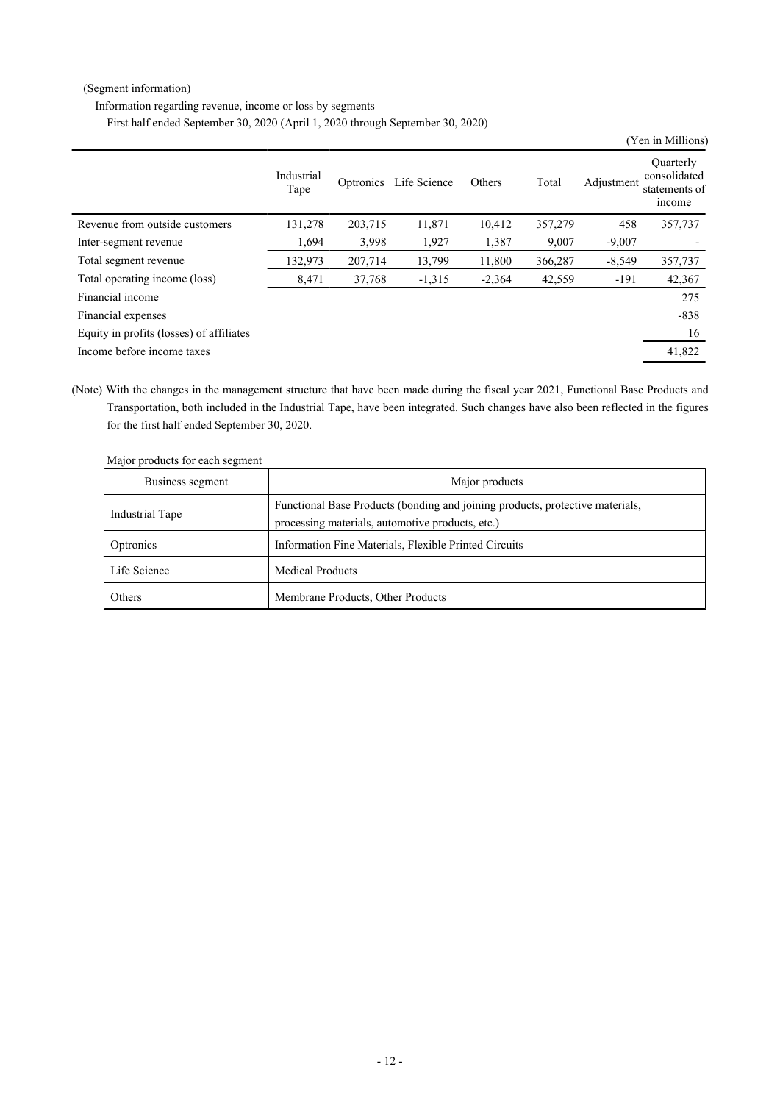### (Segment information)

Information regarding revenue, income or loss by segments

First half ended September 30, 2020 (April 1, 2020 through September 30, 2020)

|                                          |                    |         |                        |          |         |            | (Yen in Millions)                                    |
|------------------------------------------|--------------------|---------|------------------------|----------|---------|------------|------------------------------------------------------|
|                                          | Industrial<br>Tape |         | Optronics Life Science | Others   | Total   | Adjustment | Quarterly<br>consolidated<br>statements of<br>income |
| Revenue from outside customers           | 131,278            | 203,715 | 11,871                 | 10,412   | 357,279 | 458        | 357,737                                              |
| Inter-segment revenue                    | 1,694              | 3,998   | 1,927                  | 1,387    | 9,007   | $-9,007$   |                                                      |
| Total segment revenue                    | 132,973            | 207,714 | 13,799                 | 11,800   | 366,287 | $-8,549$   | 357,737                                              |
| Total operating income (loss)            | 8,471              | 37,768  | $-1,315$               | $-2,364$ | 42,559  | $-191$     | 42,367                                               |
| Financial income                         |                    |         |                        |          |         |            | 275                                                  |
| Financial expenses                       |                    |         |                        |          |         |            | $-838$                                               |
| Equity in profits (losses) of affiliates |                    |         |                        |          |         |            | 16                                                   |
| Income before income taxes               |                    |         |                        |          |         |            | 41,822                                               |

(Note) With the changes in the management structure that have been made during the fiscal year 2021, Functional Base Products and Transportation, both included in the Industrial Tape, have been integrated. Such changes have also been reflected in the figures for the first half ended September 30, 2020.

|  | Major products for each segment |  |  |
|--|---------------------------------|--|--|
|  |                                 |  |  |

| Business segment | Major products                                                                                                                    |
|------------------|-----------------------------------------------------------------------------------------------------------------------------------|
| Industrial Tape  | Functional Base Products (bonding and joining products, protective materials,<br>processing materials, automotive products, etc.) |
| Optronics        | Information Fine Materials, Flexible Printed Circuits                                                                             |
| Life Science     | <b>Medical Products</b>                                                                                                           |
| Others           | Membrane Products, Other Products                                                                                                 |